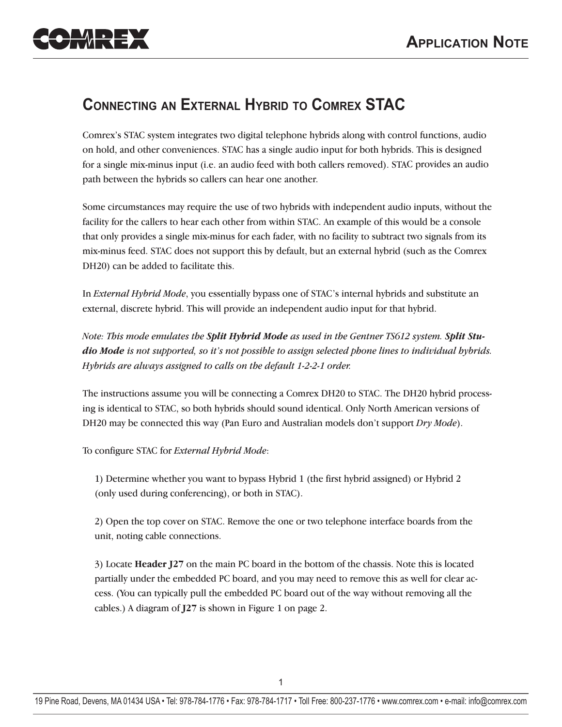

## **CONNECTING AN EXTERNAL HYBRID TO COMREX STAC**

Comrex's STAC system integrates two digital telephone hybrids along with control functions, audio on hold, and other conveniences. STAC has a single audio input for both hybrids. This is designed for a single mix-minus input (i.e. an audio feed with both callers removed). STAC provides an audio path between the hybrids so callers can hear one another.

Some circumstances may require the use of two hybrids with independent audio inputs, without the facility for the callers to hear each other from within STAC. An example of this would be a console that only provides a single mix-minus for each fader, with no facility to subtract two signals from its mix-minus feed. STAC does not support this by default, but an external hybrid (such as the Comrex DH20) can be added to facilitate this.

In *External Hybrid Mode*, you essentially bypass one of STAC's internal hybrids and substitute an external, discrete hybrid. This will provide an independent audio input for that hybrid.

*Note: This mode emulates the Split Hybrid Mode as used in the Gentner TS612 system. Split Studio Mode is not supported, so it's not possible to assign selected phone lines to individual hybrids. Hybrids are always assigned to calls on the default 1-2-2-1 order.*

The instructions assume you will be connecting a Comrex DH20 to STAC. The DH20 hybrid processing is identical to STAC, so both hybrids should sound identical. Only North American versions of DH20 may be connected this way (Pan Euro and Australian models don't support *Dry Mode*).

To configure STAC for *External Hybrid Mode*:

1) Determine whether you want to bypass Hybrid 1 (the first hybrid assigned) or Hybrid 2 (only used during conferencing), or both in STAC).

2) Open the top cover on STAC. Remove the one or two telephone interface boards from the unit, noting cable connections.

3) Locate **Header J27** on the main PC board in the bottom of the chassis. Note this is located partially under the embedded PC board, and you may need to remove this as well for clear access. (You can typically pull the embedded PC board out of the way without removing all the cables.) A diagram of **J27** is shown in Figure 1 on page 2.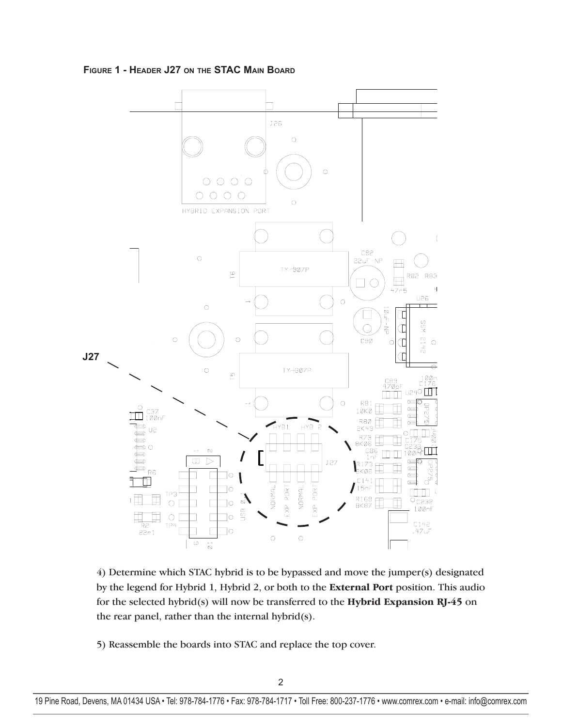

**FIGURE 1 - HEADER J27 ON THE STAC MAIN BOARD**

4) Determine which STAC hybrid is to be bypassed and move the jumper(s) designated by the legend for Hybrid 1, Hybrid 2, or both to the **External Port** position. This audio for the selected hybrid(s) will now be transferred to the **Hybrid Expansion RJ-45** on the rear panel, rather than the internal hybrid(s).

5) Reassemble the boards into STAC and replace the top cover.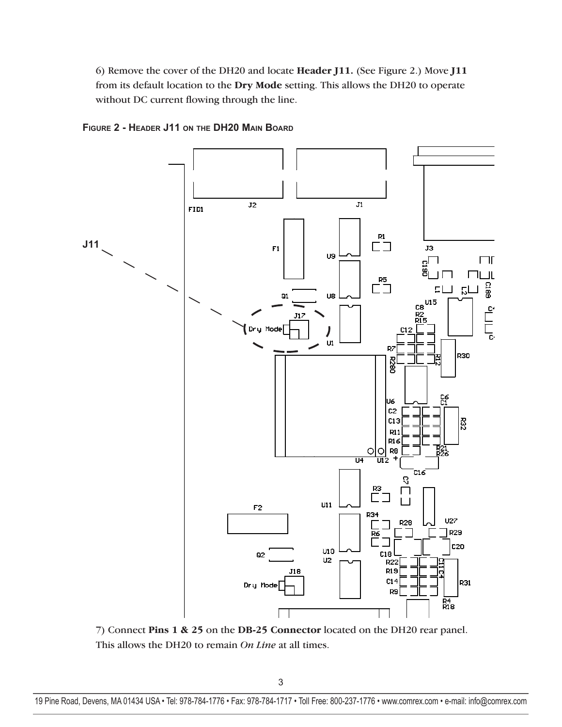6) Remove the cover of the DH20 and locate **Header J11.** (See Figure 2.) Move **J11** from its default location to the **Dry Mode** setting. This allows the DH20 to operate without DC current flowing through the line.



**FIGURE 2 - HEADER J11 ON THE DH20 MAIN BOARD**